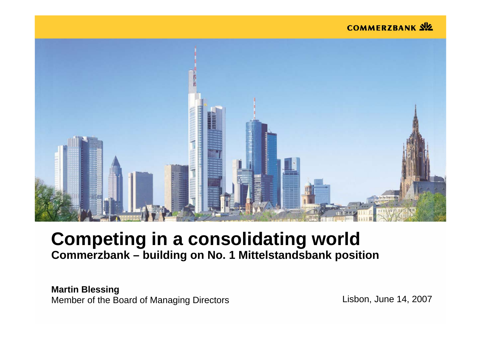#### **COMMERZBANK SIZ**



# **Competing in a consolidating world Commerzbank – building on No. 1 Mittelstandsbank position**

**Mar tin Blessing** Member of the Board of Managing Directors **Lisbon**, June 14, 2007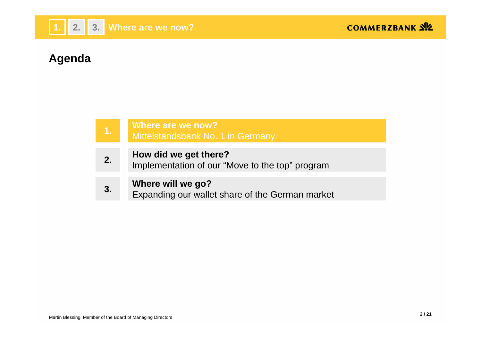

# **Agenda**

| 7. | Where are we now?<br>Mittelstandsbank No. 1 in Germany                   |
|----|--------------------------------------------------------------------------|
|    |                                                                          |
| 2. | How did we get there?<br>Implementation of our "Move to the top" program |
|    |                                                                          |
| 3. | Where will we go?<br>Expanding our wallet share of the German market     |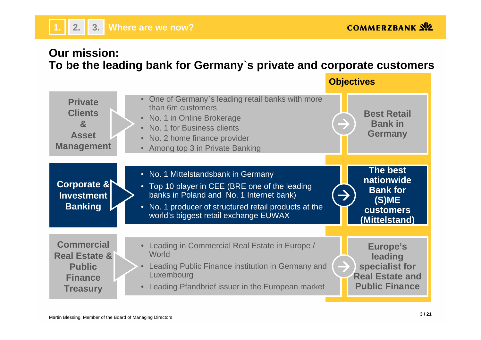## **Our mission: To be the leading bank for Germany`s private and corporate customers**

**Objectives**

| <b>Private</b><br><b>Clients</b><br>$\mathbf{a}$<br><b>Asset</b><br><b>Management</b>               | • One of Germany's leading retail banks with more<br>than 6m customers<br>• No. 1 in Online Brokerage<br>• No. 1 for Business clients<br>• No. 2 home finance provider<br>• Among top 3 in Private Banking                          | <b>Best Retail</b><br><b>Bank in</b><br><b>Germany</b>                                         |
|-----------------------------------------------------------------------------------------------------|-------------------------------------------------------------------------------------------------------------------------------------------------------------------------------------------------------------------------------------|------------------------------------------------------------------------------------------------|
| Corporate &<br><b>Investment</b><br><b>Banking</b>                                                  | • No. 1 Mittelstandsbank in Germany<br>• Top 10 player in CEE (BRE one of the leading<br>banks in Poland and No. 1 Internet bank)<br>• No. 1 producer of structured retail products at the<br>world's biggest retail exchange EUWAX | <b>The best</b><br>nationwide<br><b>Bank for</b><br>(S)ME<br><b>customers</b><br>(Mittelstand) |
| <b>Commercial</b><br><b>Real Estate &amp;</b><br><b>Public</b><br><b>Finance</b><br><b>Treasury</b> | Leading in Commercial Real Estate in Europe /<br>World<br>Leading Public Finance institution in Germany and<br>Luxembourg<br>• Leading Pfandbrief issuer in the European market                                                     | Europe's<br>leading<br>specialist for<br><b>Real Estate and</b><br><b>Public Finance</b>       |

**1.**

**2. 3. Where are we now?**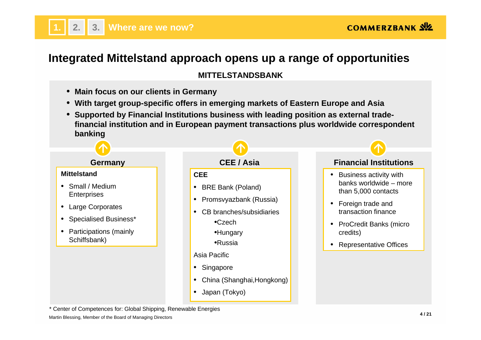

# **Integrated Mittelstand approach opens up a range of opportunities**

#### **MITTELSTANDSBANK**

- •**Main focus on our clients in Germany**
- •**With target group-specific offers in emerging markets of Eastern Europe and Asia**
- • **Supported by Financial Institutions business with leading position as external tradefinancial institution and in European payment transactions plus worldwide correspondent banking**



\* Center of Competences for: Global Shipping, Renewable Energies

Martin Blessing, Member of the Board of Managing Directors **<sup>4</sup> / 21**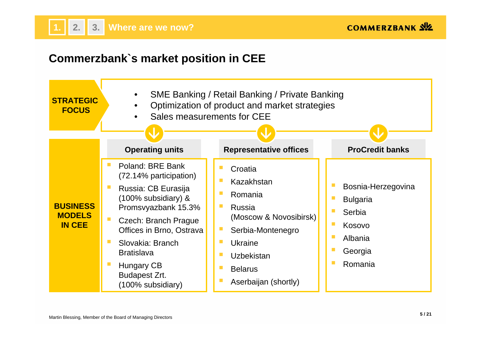

### **Commerzbank`s market position in CEE**

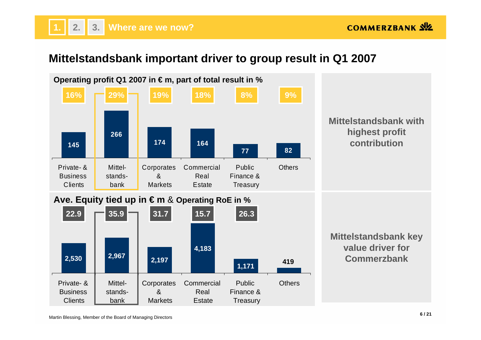# **Mittelstandsbank important driver to group result in Q1 2007**

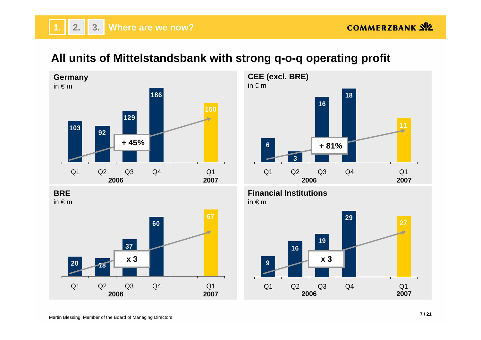## **All units of Mittelstandsbank with strong q-o-q operating profit**



**BRE**in € m





Q1 Q2 Q3 Q4 Q1

**2006**

**9**

**2007**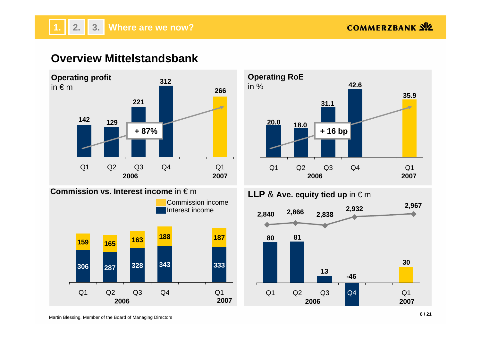# **Overview Mittelstandsbank**



![](_page_7_Figure_4.jpeg)

![](_page_7_Figure_5.jpeg)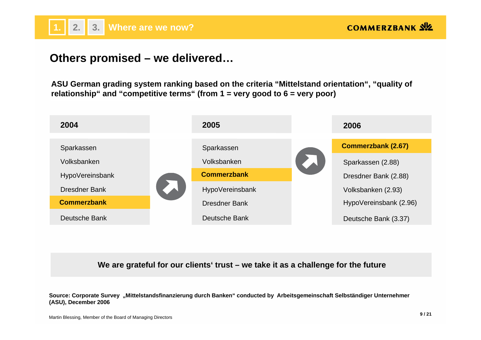![](_page_8_Picture_0.jpeg)

#### **Others promised – we delivered…**

**ASU German grading system ranking based on the criteria "Mittelstand orientation", "quality of relationship" and "competitive terms" (from 1 = very good to 6 = very poor)**

![](_page_8_Figure_4.jpeg)

**We are grateful for our clients' trust – we take it as a challenge for the future**

**Source: Corporate Survey "Mittelstandsfinanzierung durch Banken" conducted by Arbeitsgemeinschaft Selbständiger Unternehmer (ASU), December 2006**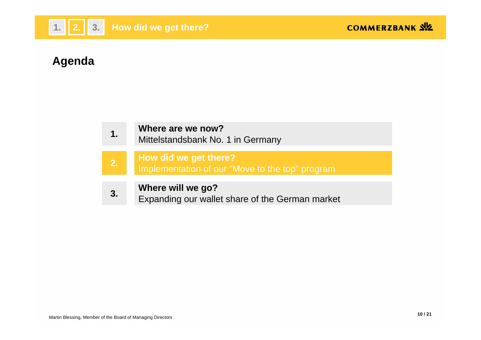![](_page_9_Picture_0.jpeg)

# **Agenda**

| $\mathbf 1$ . | Where are we now?<br>Mittelstandsbank No. 1 in Germany                   |
|---------------|--------------------------------------------------------------------------|
| 2.            | How did we get there?<br>Implementation of our "Move to the top" program |
| 3.            | Where will we go?<br>Expanding our wallet share of the German market     |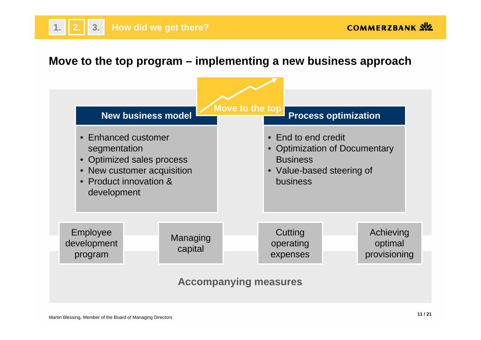### **Move to the top program – implementing a new business approach**

![](_page_10_Figure_3.jpeg)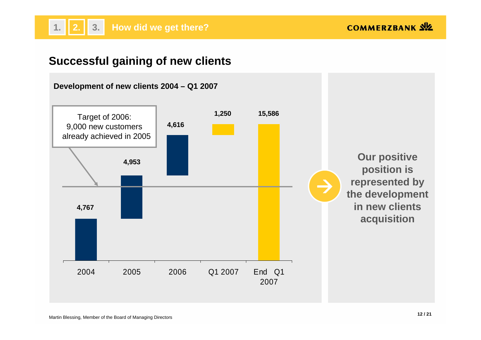## **Successful gaining of new clients**

![](_page_11_Figure_3.jpeg)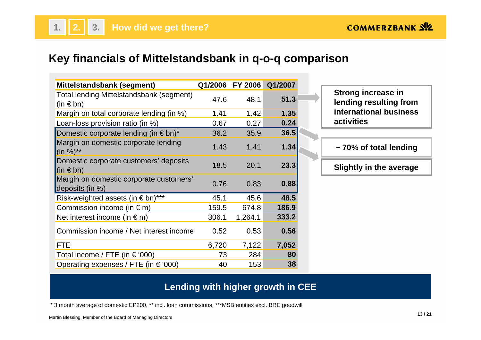## **Key financials of Mittelstandsbank in q-o-q comparison**

| Mittelstandsbank (segment)                                 | Q1/2006 | <b>FY 2006</b> | Q1/2007 |
|------------------------------------------------------------|---------|----------------|---------|
| Total lending Mittelstandsbank (segment)<br>$(in \in bn)$  | 47.6    | 48.1           | 51.3    |
| Margin on total corporate lending (in %)                   | 1.41    | 1.42           | 1.35    |
| Loan-loss provision ratio (in %)                           | 0.67    | 0.27           | 0.24    |
| Domestic corporate lending (in $\epsilon$ bn) <sup>*</sup> | 36.2    | 35.9           | 36.5    |
| Margin on domestic corporate lending<br>$(in %)^{**}$      | 1.43    | 1.41           | 1.34    |
| Domestic corporate customers' deposits<br>$ $ (in € bn)    | 18.5    | 20.1           | 23.3    |
| Margin on domestic corporate customers'<br>deposits (in %) | 0.76    | 0.83           | 0.88    |
| Risk-weighted assets (in € bn)***                          | 45.1    | 45.6           | 48.5    |
| Commission income (in $\epsilon$ m)                        | 159.5   | 674.8          | 186.9   |
| Net interest income (in $\epsilon$ m)                      | 306.1   | 1,264.1        | 333.2   |
| Commission income / Net interest income                    | 0.52    | 0.53           | 0.56    |
| <b>FTE</b>                                                 | 6,720   | 7,122          | 7,052   |
| Total income / FTE (in $\in$ '000)                         | 73      | 284            | 80      |
| Operating expenses / FTE (in $\in$ '000)                   | 40      | 153            | 38      |

**Strong increase in lending resulting from international business activities** 

**~ 70% of total lending**

**Slightly in the average**

#### **Lending with higher growth in CEE**

\* 3 month average of domestic EP200, \*\* incl. loan commissions, \*\*\*MSB entities excl. BRE goodwill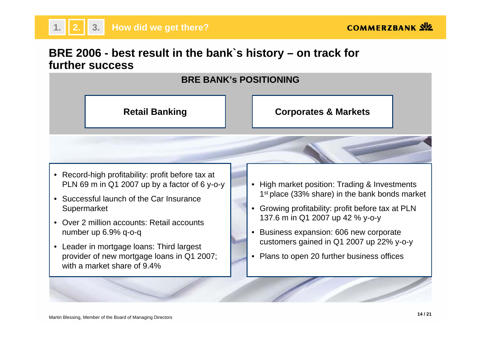**COMMERZBANK SIZ** 

## **BRE 2006 - best result in the bank`s history – on track for further success**

![](_page_13_Figure_3.jpeg)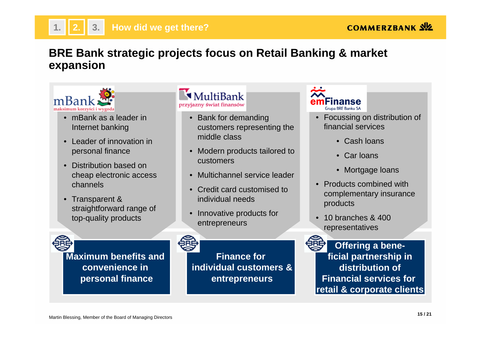# **BRE Bank strategic projects focus on Retail Banking & market expansion**

![](_page_14_Picture_3.jpeg)

**1.**

- mBank as a leader in Internet banking
- Leader of innovation in personal finance
- Distribution based on cheap electronic access channels
- Transparent & straightforward range of top-quality products

**Maximum benefits and convenience in personal finance**

#### MultiBank przyjazny świat finansów

- Bank for demanding customers representing the middle class
- Modern products tailored to customers
- Multichannel service leader
- Credit card customised to individual needs
- • Innovative products for entrepreneurs

**Finance forindividual customers &entrepreneurs**

nanse **Grupa BRE Banku SA** 

- Focussing on distribution of financial services
	- Cash loans
	- Car loans
	- Mortgage loans
- Products combined with complementary insurance products
- 10 branches & 400 representatives

![](_page_14_Picture_23.jpeg)

**Offering a beneficial partnership in distribution of Financial services forretail & corporate clients**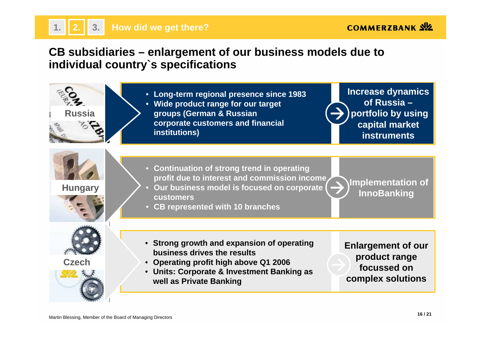### **CB subsidiaries – enlargement of our business models due to individual country`s specifications**

![](_page_15_Figure_3.jpeg)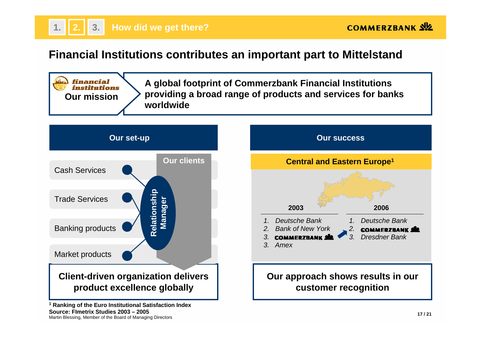![](_page_16_Picture_0.jpeg)

### **Financial Institutions contributes an important part to Mittelstand**

![](_page_16_Figure_3.jpeg)

**Source: FImetrix Studies 2003 – 2005**

SOUTC<del>C</del>: FITHEITIX STUCHES ZUUS – ZUUS<br>Martin Blessing, Member of the Board of Managing Directors **17** *i* 21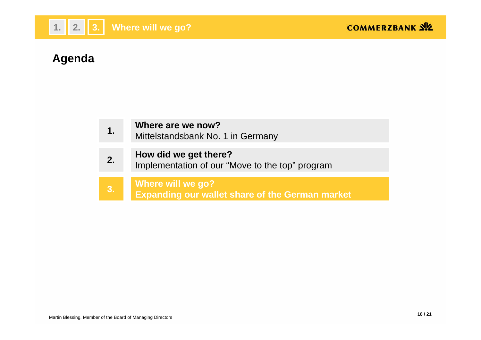![](_page_17_Picture_0.jpeg)

# **Agenda**

| $\mathbf 1$ . | Where are we now?<br>Mittelstandsbank No. 1 in Germany                             |
|---------------|------------------------------------------------------------------------------------|
| 2.            | How did we get there?<br>Implementation of our "Move to the top" program           |
| $\vert 3.$    | <b>Where will we go?</b><br><b>Expanding our wallet share of the German market</b> |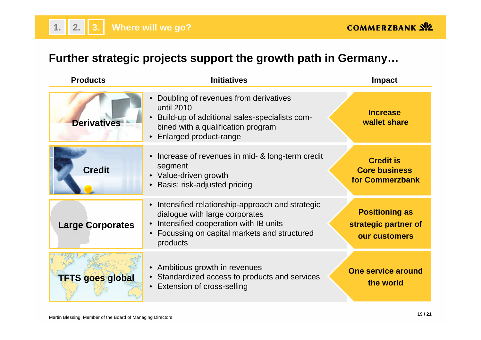# **Further strategic projects support the growth path in Germany…**

| <b>Products</b>         | <b>Initiatives</b>                                                                                                                                                                    | <b>Impact</b>                                                  |  |
|-------------------------|---------------------------------------------------------------------------------------------------------------------------------------------------------------------------------------|----------------------------------------------------------------|--|
| <b>Derivatives</b>      | Doubling of revenues from derivatives<br>until 2010<br>Build-up of additional sales-specialists com-<br>bined with a qualification program<br>• Enlarged product-range                | <b>Increase</b><br>wallet share                                |  |
| <b>Credit</b>           | Increase of revenues in mid- & long-term credit<br>segment<br>• Value-driven growth<br>• Basis: risk-adjusted pricing                                                                 | <b>Credit is</b><br><b>Core business</b><br>for Commerzbank    |  |
| <b>Large Corporates</b> | Intensified relationship-approach and strategic<br>dialogue with large corporates<br>Intensified cooperation with IB units<br>Focussing on capital markets and structured<br>products | <b>Positioning as</b><br>strategic partner of<br>our customers |  |
| <b>TFTS goes global</b> | • Ambitious growth in revenues<br>• Standardized access to products and services<br><b>Extension of cross-selling</b>                                                                 | <b>One service around</b><br>the world                         |  |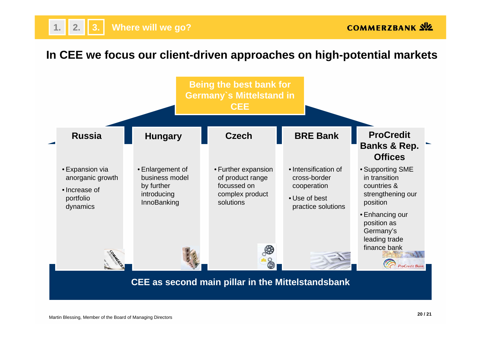### **In CEE we focus our client-driven approaches on high-potential markets**

![](_page_19_Figure_3.jpeg)

#### **CEE as second main pillar in the Mittelstandsbank**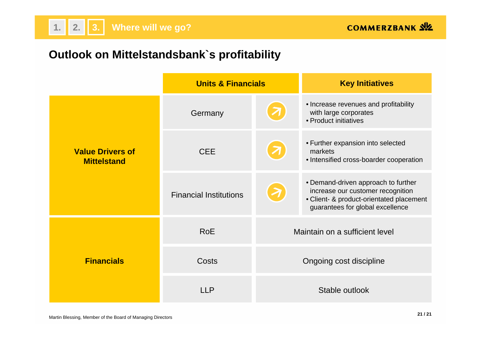## **Outlook on Mittelstandsbank`s profitability**

**2. 3. Where will we go?**

|                                               | <b>Units &amp; Financials</b> |                         | <b>Key Initiatives</b>                                                                                                                                   |
|-----------------------------------------------|-------------------------------|-------------------------|----------------------------------------------------------------------------------------------------------------------------------------------------------|
|                                               | Germany                       |                         | • Increase revenues and profitability<br>with large corporates<br>• Product initiatives                                                                  |
| <b>Value Drivers of</b><br><b>Mittelstand</b> | <b>CEE</b>                    |                         | • Further expansion into selected<br>markets<br>• Intensified cross-boarder cooperation                                                                  |
|                                               | <b>Financial Institutions</b> |                         | • Demand-driven approach to further<br>increase our customer recognition<br>• Client- & product-orientated placement<br>guarantees for global excellence |
|                                               | <b>RoE</b>                    |                         | Maintain on a sufficient level                                                                                                                           |
| <b>Financials</b>                             | Costs                         | Ongoing cost discipline |                                                                                                                                                          |
|                                               | LLP                           | Stable outlook          |                                                                                                                                                          |

**1.**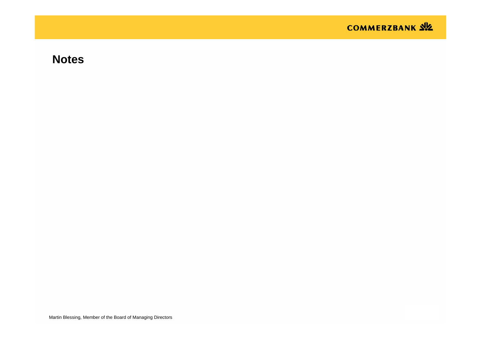![](_page_21_Picture_0.jpeg)

### **Notes**

Martin Blessing, Member of the Board of Managing Directors **<sup>22</sup> / 21**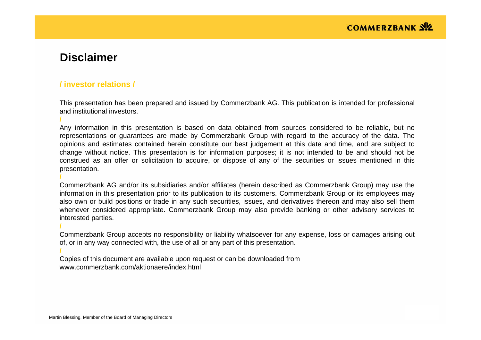### **Disclaimer**

**/**

**/**

**/**

**/**

#### **/ investor relations /**

This presentation has been prepared and issued by Commerzbank AG. This publication is intended for professional and institutional investors.

Any information in this presentation is based on data obtained from sources considered to be reliable, but no representations or guarantees are made by Commerzbank Group with regard to the accuracy of the data. The opinions and estimates contained herein constitute our best judgement at this date and time, and are subject to change without notice. This presentation is for information purposes; it is not intended to be and should not be construed as an offer or solicitation to acquire, or dispose of any of the securities or issues mentioned in this presentation.

Commerzbank AG and/or its subsidiaries and/or affiliates (herein described as Commerzbank Group) may use the information in this presentation prior to its publication to its customers. Commerzbank Group or its employees may also own or build positions or trade in any such securities, issues, and derivatives thereon and may also sell them whenever considered appropriate. Commerzbank Group may also provide banking or other advisory services to interested parties.

Commerzbank Group accepts no responsibility or liability whatsoever for any expense, loss or damages arising out of, or in any way connected with, the use of all or any part of this presentation.

Copies of this document are available upon request or can be downloaded from www.commerzbank.com/aktionaere/index.html